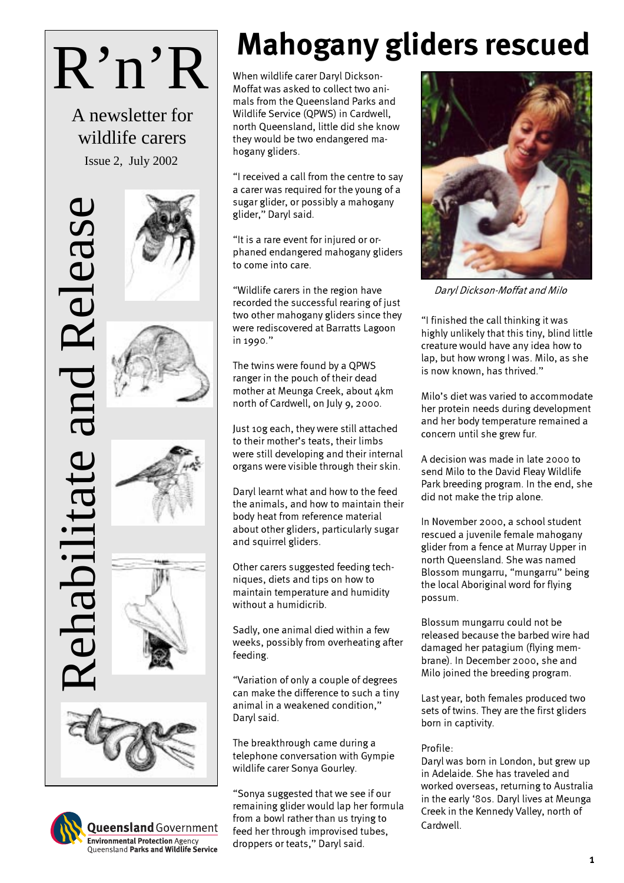# R'n'R

A newsletter for wildlife carers

# Rehabilitate and Release Release habilitate











**Queensland** Government **Environmental Protection Agency**<br>Queensland Parks and Wildlife Service

# Mahogany gliders rescued

When wildlife carer Daryl Dickson-Moffat was asked to collect two animals from the Queensland Parks and Wildlife Service (QPWS) in Cardwell, north Queensland, little did she know they would be two endangered mahogany gliders.

"I received a call from the centre to say a carer was required for the young of a sugar glider, or possibly a mahogany glider," Daryl said.

"It is a rare event for injured or orphaned endangered mahogany gliders to come into care.

"Wildlife carers in the region have recorded the successful rearing of just two other mahogany gliders since they were rediscovered at Barratts Lagoon in 1990."

The twins were found by a QPWS ranger in the pouch of their dead mother at Meunga Creek, about 4km north of Cardwell, on July 9, 2000.

Just 10g each, they were still attached to their mother's teats, their limbs were still developing and their internal organs were visible through their skin.

Daryl learnt what and how to the feed the animals, and how to maintain their body heat from reference material about other gliders, particularly sugar and squirrel gliders.

Other carers suggested feeding techniques, diets and tips on how to maintain temperature and humidity without a humidicrib.

Sadly, one animal died within a few weeks, possibly from overheating after feeding.

"Variation of only a couple of degrees can make the difference to such a tiny animal in a weakened condition," Daryl said.

The breakthrough came during a telephone conversation with Gympie wildlife carer Sonya Gourley.

"Sonya suggested that we see if our remaining glider would lap her formula from a bowl rather than us trying to feed her through improvised tubes, droppers or teats," Daryl said.



Daryl Dickson-Moffat and MiIo

"I finished the call thinking it was highly unlikely that this tiny, blind little creature would have any idea how to lap, but how wrong I was. Milo, as she is now known, has thrived."

Milo's diet was varied to accommodate her protein needs during development and her body temperature remained a concern until she grew fur.

A decision was made in late 2000 to send Milo to the David Fleay Wildlife Park breeding program. In the end, she did not make the trip alone.

In November 2000, a school student rescued a juvenile female mahogany glider from a fence at Murray Upper in north Queensland. She was named Blossom mungarru, "mungarru" being the local Aboriginal word for flying possum.

Blossum mungarru could not be released because the barbed wire had damaged her patagium (flying membrane). In December 2000, she and Milo joined the breeding program.

Last year, both females produced two sets of twins. They are the first gliders born in captivity.

### Profile:

Daryl was born in London, but grew up in Adelaide. She has traveled and worked overseas, returning to Australia in the early '80s. Daryl lives at Meunga Creek in the Kennedy Valley, north of Cardwell.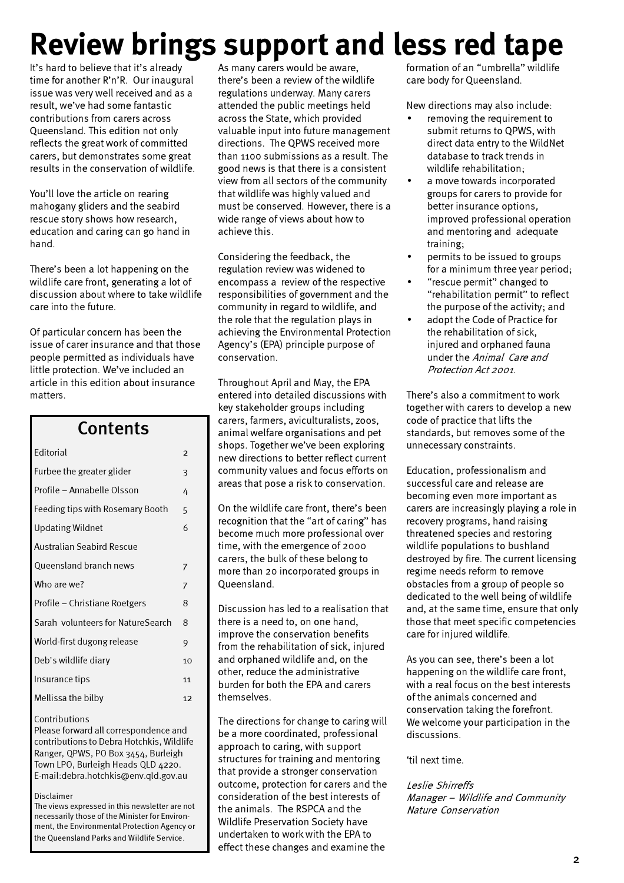# Review brings support and less red tape

It's hard to believe that it's already time for another R'n'R. Our inaugural issue was very well received and as a result, we've had some fantastic contributions from carers across Queensland. This edition not only reflects the great work of committed carers, but demonstrates some great results in the conservation of wildlife.

You'll love the article on rearing mahogany gliders and the seabird rescue story shows how research, education and caring can go hand in hand.

There's been a lot happening on the wildlife care front, generating a lot of discussion about where to take wildlife care into the future.

Of particular concern has been the issue of carer insurance and that those people permitted as individuals have little protection. We've included an article in this edition about insurance matters.

Contente

| LUIILEIILS     |  |
|----------------|--|
| $\overline{2}$ |  |
| 3              |  |
| 4              |  |
| 5              |  |
| 6              |  |
|                |  |
| 7              |  |
| 7              |  |
| 8              |  |
| 8              |  |
| 9              |  |
| 10             |  |
| 11             |  |
| 12             |  |
|                |  |

### **Contributions**

Please forward all correspondence and contributions to Debra Hotchkis, Wildlife Ranger, QPWS, PO Box 3454, Burleigh Town LPO, Burleigh Heads QLD 4220. E-mail:debra.hotchkis@env.qld.gov.au

### Disclaimer

The views expressed in this newsletter are not necessarily those of the Minister for Environment, the Environmental Protection Agency or the Queensland Parks and Wildlife Service.

As many carers would be aware, there's been a review of the wildlife regulations underway. Many carers attended the public meetings held across the State, which provided valuable input into future management directions. The QPWS received more than 1100 submissions as a result. The good news is that there is a consistent view from all sectors of the community that wildlife was highly valued and must be conserved. However, there is a wide range of views about how to achieve this.

Considering the feedback, the regulation review was widened to encompass a review of the respective responsibilities of government and the community in regard to wildlife, and the role that the regulation plays in achieving the Environmental Protection Agency's (EPA) principle purpose of conservation.

Throughout April and May, the EPA entered into detailed discussions with key stakeholder groups including carers, farmers, aviculturalists, zoos, animal welfare organisations and pet shops. Together we've been exploring new directions to better reflect current community values and focus efforts on areas that pose a risk to conservation.

On the wildlife care front, there's been recognition that the "art of caring" has become much more professional over time, with the emergence of 2000 carers, the bulk of these belong to more than 20 incorporated groups in Queensland.

Discussion has led to a realisation that there is a need to, on one hand, improve the conservation benefits from the rehabilitation of sick, injured and orphaned wildlife and, on the other, reduce the administrative burden for both the EPA and carers themselves.

The directions for change to caring will be a more coordinated, professional approach to caring, with support structures for training and mentoring that provide a stronger conservation outcome, protection for carers and the consideration of the best interests of the animals. The RSPCA and the Wildlife Preservation Society have undertaken to work with the EPA to effect these changes and examine the

formation of an "umbrella" wildlife care body for Queensland.

New directions may also include:

- removing the requirement to submit returns to QPWS, with direct data entry to the WildNet database to track trends in wildlife rehabilitation;
- a move towards incorporated groups for carers to provide for better insurance options, improved professional operation and mentoring and adequate training;
- permits to be issued to groups for a minimum three year period;
- "rescue permit" changed to "rehabilitation permit" to reflect the purpose of the activity; and
- adopt the Code of Practice for the rehabilitation of sick, injured and orphaned fauna under the Animal Care and Protection Act 2001.

There's also a commitment to work together with carers to develop a new code of practice that lifts the standards, but removes some of the unnecessary constraints.

Education, professionalism and successful care and release are becoming even more important as carers are increasingly playing a role in recovery programs, hand raising threatened species and restoring wildlife populations to bushland destroyed by fire. The current licensing regime needs reform to remove obstacles from a group of people so dedicated to the well being of wildlife and, at the same time, ensure that only those that meet specific competencies care for injured wildlife.

As you can see, there's been a lot happening on the wildlife care front, with a real focus on the best interests of the animals concerned and conservation taking the forefront. We welcome your participation in the discussions.

'til next time.

### Leslie Shirreffs Manager – Wildlife and Community Nature Conservation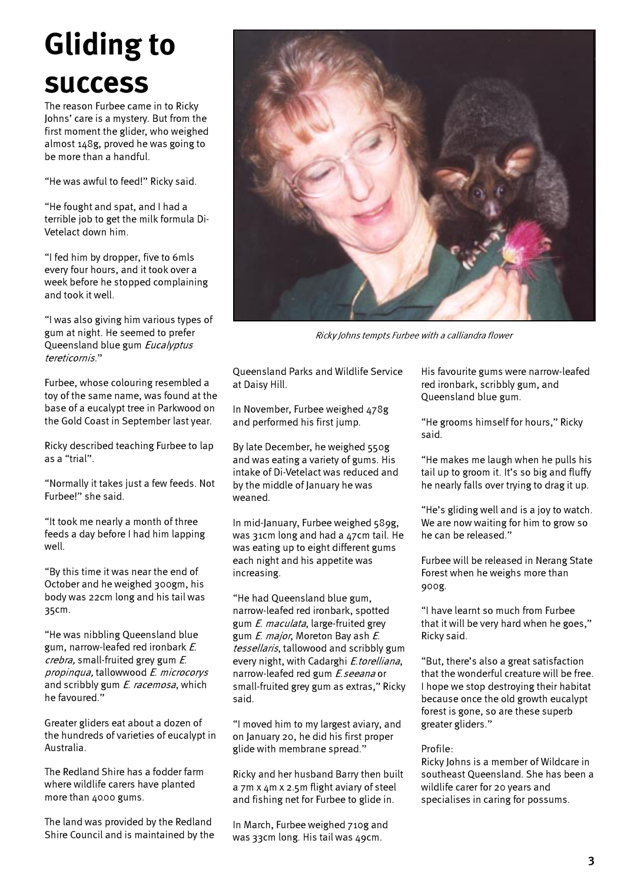# Gliding to success

The reason Furbee came in to Ricky Johns' care is a mystery. But from the first moment the glider, who weighed almost 148g, proved he was going to be more than a handful.

"He was awful to feed!" Ricky said.

"He fought and spat, and I had a terrible job to get the milk formula Di-Vetelact down him.

"I fed him by dropper, five to 6mls every four hours, and it took over a week before he stopped complaining and took it well.

"I was also giving him various types of gum at night. He seemed to prefer Queensland blue gum Eucalyptus tereticornis."

Furbee, whose colouring resembled a toy of the same name, was found at the base of a eucalypt tree in Parkwood on the Gold Coast in September last year.

Ricky described teaching Furbee to lap as a "trial".

"Normally it takes just a few feeds. Not Furbee!" she said.

"It took me nearly a month of three feeds a day before I had him lapping well.

"By this time it was near the end of October and he weighed 300gm, his body was 22cm long and his tail was 35cm.

"He was nibbling Queensland blue gum, narrow-leafed red ironbark E. crebra, small-fruited grey gum E. propinqua, tallowwood E. microcorys and scribbly gum *E. racemosa*, which he favoured."

Greater gliders eat about a dozen of the hundreds of varieties of eucalypt in Australia.

The Redland Shire has a fodder farm where wildlife carers have planted more than 4000 gums.

The land was provided by the Redland Shire Council and is maintained by the



Ricky Johns tempts Furbee with a calliandra flower

Queensland Parks and Wildlife Service at Daisy Hill.

In November, Furbee weighed 478g and performed his first jump.

By late December, he weighed 550g and was eating a variety of gums. His intake of Di-Vetelact was reduced and by the middle of January he was weaned.

In mid-January, Furbee weighed 589g, was 31cm long and had a 47cm tail. He was eating up to eight different gums each night and his appetite was increasing.

"He had Queensland blue gum, narrow-leafed red ironbark, spotted gum E. maculata, large-fruited grey gum E. major, Moreton Bay ash E. tessellaris, tallowood and scribbly gum every night, with Cadarghi E.torelliana, narrow-leafed red gum E.seeana or small-fruited grey gum as extras," Ricky said.

"I moved him to my largest aviary, and on January 20, he did his first proper glide with membrane spread."

Ricky and her husband Barry then built a 7m x 4m x 2.5m flight aviary of steel and fishing net for Furbee to glide in.

In March, Furbee weighed 710g and was 33cm long. His tail was 49cm.

His favourite gums were narrow-leafed red ironbark, scribbly gum, and Queensland blue gum.

"He grooms himself for hours," Ricky said.

"He makes me laugh when he pulls his tail up to groom it. It's so big and fluffy he nearly falls over trying to drag it up.

"He's gliding well and is a joy to watch. We are now waiting for him to grow so he can be released."

Furbee will be released in Nerang State Forest when he weighs more than 900g.

"I have learnt so much from Furbee that it will be very hard when he goes," Ricky said.

"But, there's also a great satisfaction that the wonderful creature will be free. I hope we stop destroying their habitat because once the old growth eucalypt forest is gone, so are these superb greater gliders."

### Profile:

Ricky Johns is a member of Wildcare in southeast Queensland. She has been a wildlife carer for 20 years and specialises in caring for possums.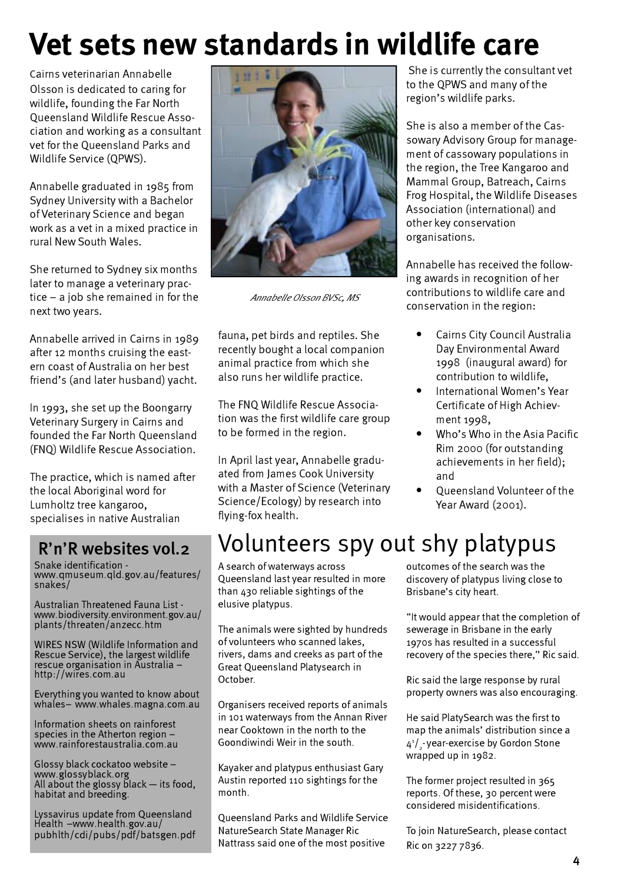# Vet sets new standards in wildlife care

Cairns veterinarian Annabelle Olsson is dedicated to caring for wildlife, founding the Far North Queensland Wildlife Rescue Association and working as a consultant vet for the Queensland Parks and Wildlife Service (QPWS).

Annabelle graduated in 1985 from Sydney University with a Bachelor of Veterinary Science and began work as a vet in a mixed practice in rural New South Wales.

She returned to Sydney six months later to manage a veterinary practice – a job she remained in for the next two years.

Annabelle arrived in Cairns in 1989 after 12 months cruising the eastern coast of Australia on her best friend's (and later husband) yacht.

In 1993, she set up the Boongarry Veterinary Surgery in Cairns and founded the Far North Queensland (FNQ) Wildlife Rescue Association.

The practice, which is named after the local Aboriginal word for Lumholtz tree kangaroo, specialises in native Australian

### R'n'R websites vol.2

Snake identification www.qmuseum.qld.gov.au/features/ snakes/

Australian Threatened Fauna List www.biodiversity.environment.gov.au/ plants/threaten/anzecc.htm

WIRES NSW (Wildlife Information and Rescue Service), the largest wildlife rescue organisation in Australia – http://wires.com.au

Everything you wanted to know about whales– www.whales.magna.com.au

Information sheets on rainforest species in the Atherton region – www.rainforestaustralia.com.au

Glossy black cockatoo website – www.glossyblack.org All about the glossy black — its food, habitat and breeding.

Lyssavirus update from Queensland Health –www.health.gov.au/ pubhlth/cdi/pubs/pdf/batsgen.pdf



Annabelle Olsson BVSc, MS

fauna, pet birds and reptiles. She recently bought a local companion animal practice from which she also runs her wildlife practice.

The FNQ Wildlife Rescue Association was the first wildlife care group to be formed in the region.

In April last year, Annabelle graduated from James Cook University with a Master of Science (Veterinary Science/Ecology) by research into flying-fox health.

 She is currently the consultant vet to the QPWS and many of the region's wildlife parks.

She is also a member of the Cassowary Advisory Group for management of cassowary populations in the region, the Tree Kangaroo and Mammal Group, Batreach, Cairns Frog Hospital, the Wildlife Diseases Association (international) and other key conservation organisations.

Annabelle has received the following awards in recognition of her contributions to wildlife care and conservation in the region:

- Cairns City Council Australia Day Environmental Award 1998 (inaugural award) for contribution to wildlife,
- International Women's Year Certificate of High Achievment 1998,
- Who's Who in the Asia Pacific Rim 2000 (for outstanding achievements in her field); and
- Queensland Volunteer of the Year Award (2001).

# Volunteers spy out shy platypus

A search of waterways across Queensland last year resulted in more than 430 reliable sightings of the elusive platypus.

The animals were sighted by hundreds of volunteers who scanned lakes, rivers, dams and creeks as part of the Great Queensland Platysearch in October.

Organisers received reports of animals in 101 waterways from the Annan River near Cooktown in the north to the Goondiwindi Weir in the south.

Kayaker and platypus enthusiast Gary Austin reported 110 sightings for the month.

Queensland Parks and Wildlife Service NatureSearch State Manager Ric Nattrass said one of the most positive

outcomes of the search was the discovery of platypus living close to Brisbane's city heart.

"It would appear that the completion of sewerage in Brisbane in the early 1970s has resulted in a successful recovery of the species there," Ric said.

Ric said the large response by rural property owners was also encouraging.

He said PlatySearch was the first to map the animals' distribution since a  $4^{\scriptscriptstyle 1}/_{\scriptscriptstyle 2}$ -year-exercise by Gordon Stone wrapped up in 1982.

The former project resulted in 365 reports. Of these, 30 percent were considered misidentifications.

To join NatureSearch, please contact Ric on 3227 7836.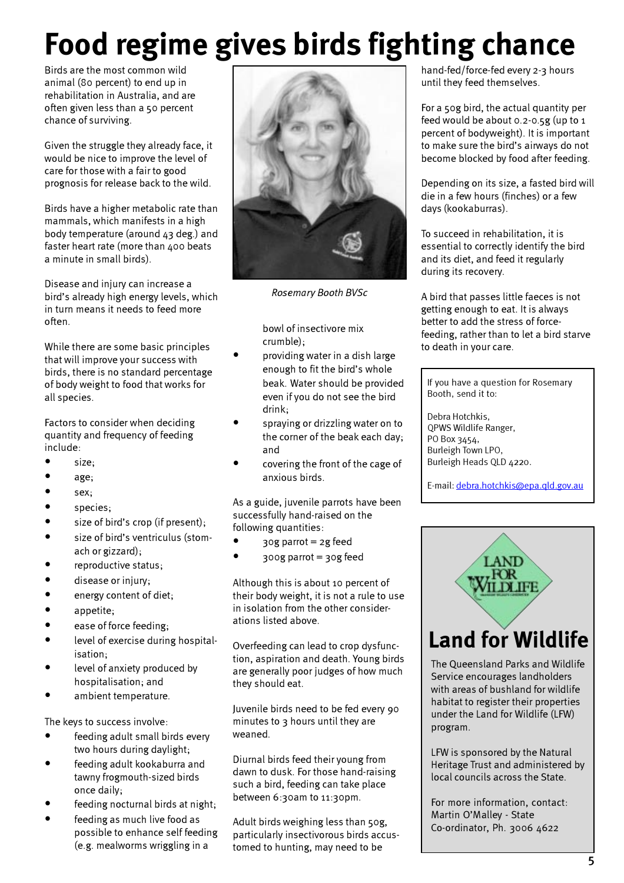# Food regime gives birds fighting chance

Birds are the most common wild animal (80 percent) to end up in rehabilitation in Australia, and are often given less than a 50 percent chance of surviving.

Given the struggle they already face, it would be nice to improve the level of care for those with a fair to good prognosis for release back to the wild.

Birds have a higher metabolic rate than mammals, which manifests in a high body temperature (around 43 deg.) and faster heart rate (more than 400 beats a minute in small birds).

Disease and injury can increase a bird's already high energy levels, which in turn means it needs to feed more often.

While there are some basic principles that will improve your success with birds, there is no standard percentage of body weight to food that works for all species.

Factors to consider when deciding quantity and frequency of feeding include:

- size;
- age;
- sex;
- species;
- size of bird's crop (if present);
- size of bird's ventriculus (stomach or gizzard);
- reproductive status;
- disease or injury;
- energy content of diet;
- appetite;
- ease of force feeding;
- level of exercise during hospitalisation;
- level of anxiety produced by hospitalisation; and
- ambient temperature.

The keys to success involve:

- feeding adult small birds every two hours during daylight;
- feeding adult kookaburra and tawny frogmouth-sized birds once daily;
- feeding nocturnal birds at night;
- feeding as much live food as possible to enhance self feeding (e.g. mealworms wriggling in a



Rosemary Booth BVSc

bowl of insectivore mix crumble);

- providing water in a dish large enough to fit the bird's whole beak. Water should be provided even if you do not see the bird drink;
- spraying or drizzling water on to the corner of the beak each day; and
- covering the front of the cage of anxious birds.

As a guide, juvenile parrots have been successfully hand-raised on the following quantities:

- $30g$  parrot = 2g feed
- 300g parrot = 30g feed

Although this is about 10 percent of their body weight, it is not a rule to use in isolation from the other considerations listed above.

Overfeeding can lead to crop dysfunction, aspiration and death. Young birds are generally poor judges of how much they should eat.

Juvenile birds need to be fed every 90 minutes to  $3$  hours until they are weaned.

Diurnal birds feed their young from dawn to dusk. For those hand-raising such a bird, feeding can take place between 6:30am to 11:30pm.

Adult birds weighing less than 50g, particularly insectivorous birds accustomed to hunting, may need to be

hand-fed/force-fed every 2-3 hours until they feed themselves.

For a 50g bird, the actual quantity per feed would be about 0.2-0.5g (up to 1 percent of bodyweight). It is important to make sure the bird's airways do not become blocked by food after feeding.

Depending on its size, a fasted bird will die in a few hours (finches) or a few days (kookaburras).

To succeed in rehabilitation, it is essential to correctly identify the bird and its diet, and feed it regularly during its recovery.

A bird that passes little faeces is not getting enough to eat. It is always better to add the stress of forcefeeding, rather than to let a bird starve to death in your care.

If you have a question for Rosemary Booth, send it to:

Debra Hotchkis, QPWS Wildlife Ranger, PO Box 3454, Burleigh Town LPO, Burleigh Heads QLD 4220.

E-mail: debra.hotchkis@epa.qld.gov.au



# Land for Wildlife

The Queensland Parks and Wildlife Service encourages landholders with areas of bushland for wildlife habitat to register their properties under the Land for Wildlife (LFW) program.

LFW is sponsored by the Natural Heritage Trust and administered by local councils across the State.

For more information, contact: Martin O'Malley - State Co-ordinator, Ph. 3006 4622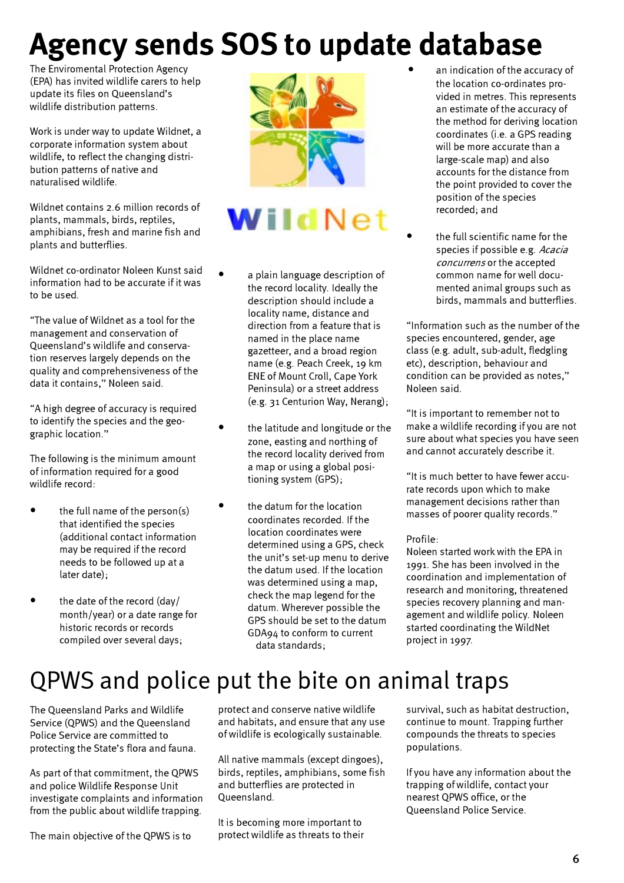# Agency sends SOS to update database

The Enviromental Protection Agency (EPA) has invited wildlife carers to help update its files on Queensland's wildlife distribution patterns.

Work is under way to update Wildnet, a corporate information system about wildlife, to reflect the changing distribution patterns of native and naturalised wildlife.

Wildnet contains 2.6 million records of plants, mammals, birds, reptiles, amphibians, fresh and marine fish and plants and butterflies.

Wildnet co-ordinator Noleen Kunst said information had to be accurate if it was to be used.

"The value of Wildnet as a tool for the management and conservation of Queensland's wildlife and conservation reserves largely depends on the quality and comprehensiveness of the data it contains," Noleen said.

"A high degree of accuracy is required to identify the species and the geographic location."

The following is the minimum amount of information required for a good wildlife record:

- the full name of the person(s) that identified the species (additional contact information may be required if the record needs to be followed up at a later date);
- the date of the record (day/ month/year) or a date range for historic records or records compiled over several days;



# WildNet

- a plain language description of the record locality. Ideally the description should include a locality name, distance and direction from a feature that is named in the place name gazetteer, and a broad region name (e.g. Peach Creek, 19 km ENE of Mount Croll, Cape York Peninsula) or a street address (e.g. 31 Centurion Way, Nerang);
- the latitude and longitude or the zone, easting and northing of the record locality derived from a map or using a global positioning system (GPS);
- the datum for the location coordinates recorded. If the location coordinates were determined using a GPS, check the unit's set-up menu to derive the datum used. If the location was determined using a map, check the map legend for the datum. Wherever possible the GPS should be set to the datum GDA94 to conform to current data standards;
- an indication of the accuracy of the location co-ordinates provided in metres. This represents an estimate of the accuracy of the method for deriving location coordinates (i.e. a GPS reading will be more accurate than a large-scale map) and also accounts for the distance from the point provided to cover the position of the species recorded; and
- the full scientific name for the species if possible e.g. Acacia concurrens or the accepted common name for well documented animal groups such as birds, mammals and butterflies.

"Information such as the number of the species encountered, gender, age class (e.g. adult, sub-adult, fledgling etc), description, behaviour and condition can be provided as notes," Noleen said.

"It is important to remember not to make a wildlife recording if you are not sure about what species you have seen and cannot accurately describe it.

"It is much better to have fewer accurate records upon which to make management decisions rather than masses of poorer quality records."

### Profile:

Noleen started work with the EPA in 1991. She has been involved in the coordination and implementation of research and monitoring, threatened species recovery planning and management and wildlife policy. Noleen started coordinating the WildNet project in 1997.

# QPWS and police put the bite on animal traps

The Queensland Parks and Wildlife Service (QPWS) and the Queensland Police Service are committed to protecting the State's flora and fauna.

As part of that commitment, the QPWS and police Wildlife Response Unit investigate complaints and information from the public about wildlife trapping.

The main objective of the QPWS is to

protect and conserve native wildlife and habitats, and ensure that any use of wildlife is ecologically sustainable.

All native mammals (except dingoes), birds, reptiles, amphibians, some fish and butterflies are protected in Queensland.

It is becoming more important to protect wildlife as threats to their

survival, such as habitat destruction, continue to mount. Trapping further compounds the threats to species populations.

If you have any information about the trapping of wildlife, contact your nearest QPWS office, or the Queensland Police Service.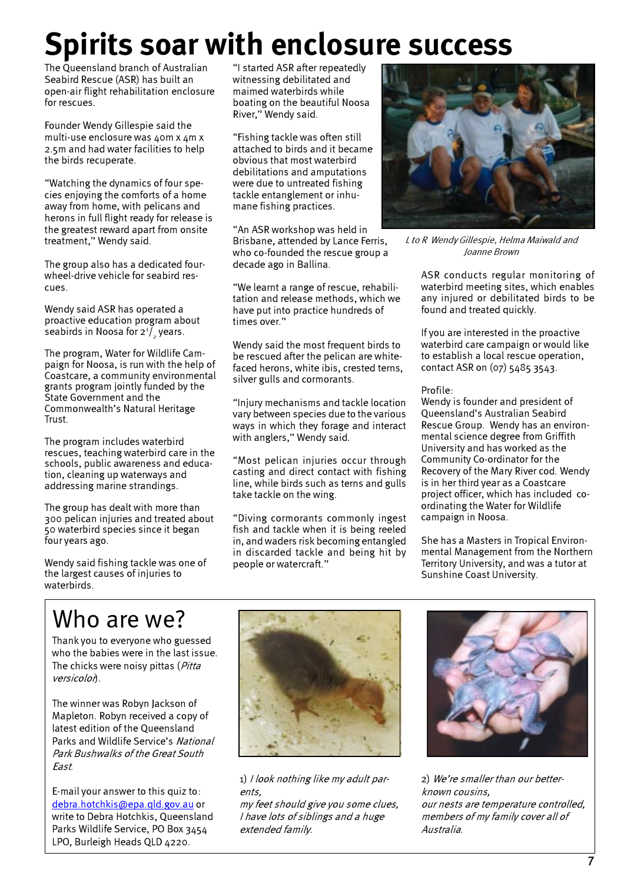# Spirits soar with enclosure success

The Queensland branch of Australian Seabird Rescue (ASR) has built an open-air flight rehabilitation enclosure for rescues.

Founder Wendy Gillespie said the multi-use enclosure was 40m x 4m x 2.5m and had water facilities to help the birds recuperate.

"Watching the dynamics of four species enjoying the comforts of a home away from home, with pelicans and herons in full flight ready for release is the greatest reward apart from onsite treatment," Wendy said.

The group also has a dedicated fourwheel-drive vehicle for seabird rescues.

Wendy said ASR has operated a proactive education program about seabirds in Noosa for 2 $^{\prime}/_{_2}$ years.

The program, Water for Wildlife Campaign for Noosa, is run with the help of Coastcare, a community environmental grants program jointly funded by the State Government and the Commonwealth's Natural Heritage Trust.

The program includes waterbird rescues, teaching waterbird care in the schools, public awareness and education, cleaning up waterways and addressing marine strandings.

The group has dealt with more than 300 pelican injuries and treated about 50 waterbird species since it began four years ago.

Wendy said fishing tackle was one of the largest causes of injuries to waterbirds.

"I started ASR after repeatedly witnessing debilitated and maimed waterbirds while boating on the beautiful Noosa River," Wendy said.

"Fishing tackle was often still attached to birds and it became obvious that most waterbird debilitations and amputations were due to untreated fishing tackle entanglement or inhumane fishing practices.

"An ASR workshop was held in Brisbane, attended by Lance Ferris, who co-founded the rescue group a decade ago in Ballina.

"We learnt a range of rescue, rehabilitation and release methods, which we have put into practice hundreds of times over."

Wendy said the most frequent birds to be rescued after the pelican are whitefaced herons, white ibis, crested terns, silver gulls and cormorants.

"Injury mechanisms and tackle location vary between species due to the various ways in which they forage and interact with anglers," Wendy said.

"Most pelican injuries occur through casting and direct contact with fishing line, while birds such as terns and gulls take tackle on the wing.

"Diving cormorants commonly ingest fish and tackle when it is being reeled in, and waders risk becoming entangled in discarded tackle and being hit by people or watercraft."



L to R Wendy Gillespie, Helma Maiwald and Joanne Brown

ASR conducts regular monitoring of waterbird meeting sites, which enables any injured or debilitated birds to be found and treated quickly.

If you are interested in the proactive waterbird care campaign or would like to establish a local rescue operation, contact ASR on (07) 5485 3543.

### Profile:

Wendy is founder and president of Queensland's Australian Seabird Rescue Group. Wendy has an environmental science degree from Griffith University and has worked as the Community Co-ordinator for the Recovery of the Mary River cod. Wendy is in her third year as a Coastcare project officer, which has included coordinating the Water for Wildlife campaign in Noosa.

She has a Masters in Tropical Environmental Management from the Northern Territory University, and was a tutor at Sunshine Coast University.

# Who are we?

Thank you to everyone who guessed who the babies were in the last issue. The chicks were noisy pittas (*Pitta* versicolon.

The winner was Robyn Jackson of Mapleton. Robyn received a copy of latest edition of the Queensland Parks and Wildlife Service's National Park Bushwalks of the Great South East.

E-mail your answer to this quiz to: debra.hotchkis@epa.qld.gov.au or write to Debra Hotchkis, Queensland Parks Wildlife Service, PO Box 3454 LPO, Burleigh Heads OLD 4220.



1) I look nothing like my adult parents,

my feet should give you some clues, I have lots of siblings and a huge extended family.



2) We're smaller than our betterknown cousins, our nests are temperature controlled, members of my family cover all of Australia.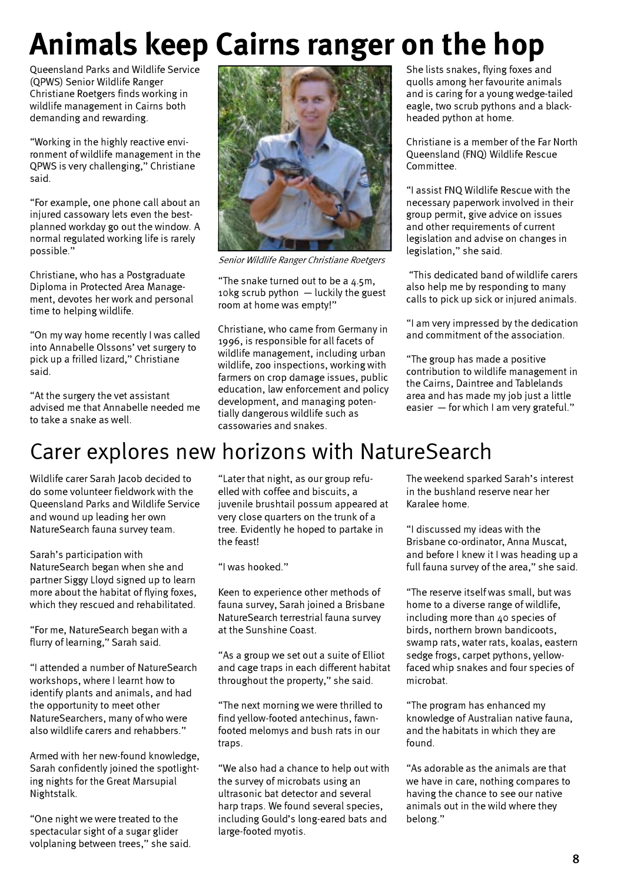# Animals keep Cairns ranger on the hop

Queensland Parks and Wildlife Service (QPWS) Senior Wildlife Ranger Christiane Roetgers finds working in wildlife management in Cairns both demanding and rewarding.

"Working in the highly reactive environment of wildlife management in the QPWS is very challenging," Christiane said.

"For example, one phone call about an injured cassowary lets even the bestplanned workday go out the window. A normal regulated working life is rarely possible."

Christiane, who has a Postgraduate Diploma in Protected Area Management, devotes her work and personal time to helping wildlife.

"On my way home recently I was called into Annabelle Olssons' vet surgery to pick up a frilled lizard," Christiane said.

"At the surgery the vet assistant advised me that Annabelle needed me to take a snake as well.



Senior Wildlife Ranger Christiane Roetgers

"The snake turned out to be a 4.5m, 10kg scrub python — luckily the guest room at home was empty!"

Christiane, who came from Germany in 1996, is responsible for all facets of wildlife management, including urban wildlife, zoo inspections, working with farmers on crop damage issues, public education, law enforcement and policy development, and managing potentially dangerous wildlife such as cassowaries and snakes.

She lists snakes, flying foxes and quolls among her favourite animals and is caring for a young wedge-tailed eagle, two scrub pythons and a blackheaded python at home.

Christiane is a member of the Far North Queensland (FNQ) Wildlife Rescue Committee.

"I assist FNQ Wildlife Rescue with the necessary paperwork involved in their group permit, give advice on issues and other requirements of current legislation and advise on changes in legislation," she said.

 "This dedicated band of wildlife carers also help me by responding to many calls to pick up sick or injured animals.

"I am very impressed by the dedication and commitment of the association.

"The group has made a positive contribution to wildlife management in the Cairns, Daintree and Tablelands area and has made my job just a little easier — for which I am very grateful."

# Carer explores new horizons with NatureSearch

Wildlife carer Sarah Jacob decided to do some volunteer fieldwork with the Queensland Parks and Wildlife Service and wound up leading her own NatureSearch fauna survey team.

Sarah's participation with NatureSearch began when she and partner Siggy Lloyd signed up to learn more about the habitat of flying foxes, which they rescued and rehabilitated.

"For me, NatureSearch began with a flurry of learning," Sarah said.

"I attended a number of NatureSearch workshops, where I learnt how to identify plants and animals, and had the opportunity to meet other NatureSearchers, many of who were also wildlife carers and rehabbers."

Armed with her new-found knowledge, Sarah confidently joined the spotlighting nights for the Great Marsupial Nightstalk.

"One night we were treated to the spectacular sight of a sugar glider volplaning between trees," she said.

"Later that night, as our group refuelled with coffee and biscuits, a juvenile brushtail possum appeared at very close quarters on the trunk of a tree. Evidently he hoped to partake in the feast!

"I was hooked."

Keen to experience other methods of fauna survey, Sarah joined a Brisbane NatureSearch terrestrial fauna survey at the Sunshine Coast.

"As a group we set out a suite of Elliot and cage traps in each different habitat throughout the property," she said.

"The next morning we were thrilled to find yellow-footed antechinus, fawnfooted melomys and bush rats in our traps.

"We also had a chance to help out with the survey of microbats using an ultrasonic bat detector and several harp traps. We found several species, including Gould's long-eared bats and large-footed myotis.

The weekend sparked Sarah's interest in the bushland reserve near her Karalee home.

"I discussed my ideas with the Brisbane co-ordinator, Anna Muscat, and before I knew it I was heading up a full fauna survey of the area," she said.

"The reserve itself was small, but was home to a diverse range of wildlife, including more than 40 species of birds, northern brown bandicoots, swamp rats, water rats, koalas, eastern sedge frogs, carpet pythons, yellowfaced whip snakes and four species of microbat.

"The program has enhanced my knowledge of Australian native fauna, and the habitats in which they are found.

"As adorable as the animals are that we have in care, nothing compares to having the chance to see our native animals out in the wild where they belong."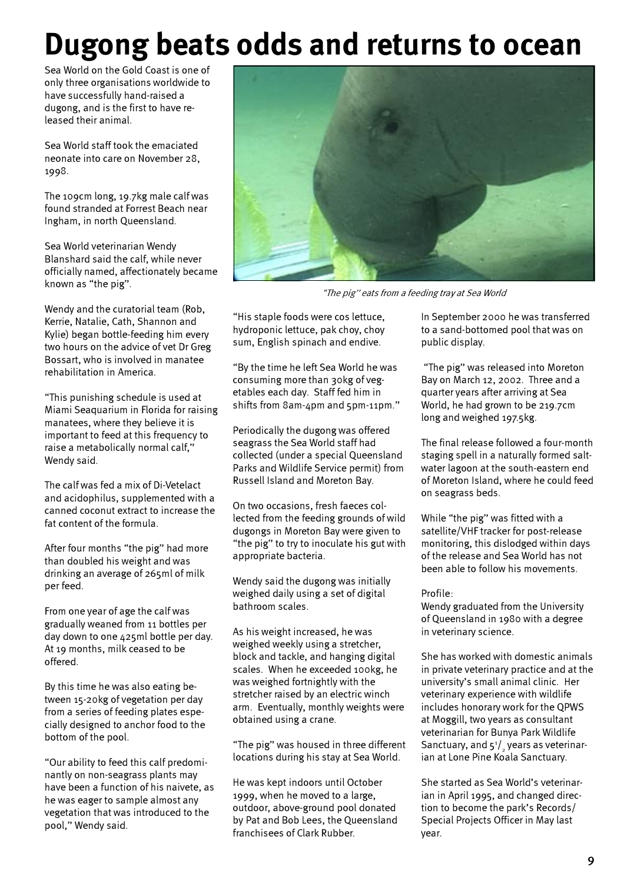# Dugong beats odds and returns to ocean

Sea World on the Gold Coast is one of only three organisations worldwide to have successfully hand-raised a dugong, and is the first to have released their animal.

Sea World staff took the emaciated neonate into care on November 28, 1998.

The 109cm long, 19.7kg male calf was found stranded at Forrest Beach near Ingham, in north Queensland.

Sea World veterinarian Wendy Blanshard said the calf, while never officially named, affectionately became known as "the pig".

Wendy and the curatorial team (Rob, Kerrie, Natalie, Cath, Shannon and Kylie) began bottle-feeding him every two hours on the advice of vet Dr Greg Bossart, who is involved in manatee rehabilitation in America.

"This punishing schedule is used at Miami Seaquarium in Florida for raising manatees, where they believe it is important to feed at this frequency to raise a metabolically normal calf," Wendy said.

The calf was fed a mix of Di-Vetelact and acidophilus, supplemented with a canned coconut extract to increase the fat content of the formula.

After four months "the pig" had more than doubled his weight and was drinking an average of 265ml of milk per feed.

From one year of age the calf was gradually weaned from 11 bottles per day down to one 425ml bottle per day. At 19 months, milk ceased to be offered.

By this time he was also eating between 15-20kg of vegetation per day from a series of feeding plates especially designed to anchor food to the bottom of the pool.

"Our ability to feed this calf predominantly on non-seagrass plants may have been a function of his naivete, as he was eager to sample almost any vegetation that was introduced to the pool," Wendy said.



"The pig" eats from a feeding tray at Sea World

"His staple foods were cos lettuce, hydroponic lettuce, pak choy, choy sum, English spinach and endive.

"By the time he left Sea World he was consuming more than 30kg of vegetables each day. Staff fed him in shifts from 8am-4pm and 5pm-11pm."

Periodically the dugong was offered seagrass the Sea World staff had collected (under a special Queensland Parks and Wildlife Service permit) from Russell Island and Moreton Bay.

On two occasions, fresh faeces collected from the feeding grounds of wild dugongs in Moreton Bay were given to "the pig" to try to inoculate his gut with appropriate bacteria.

Wendy said the dugong was initially weighed daily using a set of digital bathroom scales.

As his weight increased, he was weighed weekly using a stretcher, block and tackle, and hanging digital scales. When he exceeded 100kg, he was weighed fortnightly with the stretcher raised by an electric winch arm. Eventually, monthly weights were obtained using a crane.

"The pig" was housed in three different locations during his stay at Sea World.

He was kept indoors until October 1999, when he moved to a large, outdoor, above-ground pool donated by Pat and Bob Lees, the Queensland franchisees of Clark Rubber.

In September 2000 he was transferred to a sand-bottomed pool that was on public display.

 "The pig" was released into Moreton Bay on March 12, 2002. Three and a quarter years after arriving at Sea World, he had grown to be 219.7cm long and weighed 197.5kg.

The final release followed a four-month staging spell in a naturally formed saltwater lagoon at the south-eastern end of Moreton Island, where he could feed on seagrass beds.

While "the pig" was fitted with a satellite/VHF tracker for post-release monitoring, this dislodged within days of the release and Sea World has not been able to follow his movements.

### Profile:

Wendy graduated from the University of Queensland in 1980 with a degree in veterinary science.

She has worked with domestic animals in private veterinary practice and at the university's small animal clinic. Her veterinary experience with wildlife includes honorary work for the QPWS at Moggill, two years as consultant veterinarian for Bunya Park Wildlife Sanctuary, and 5 $^{\scriptscriptstyle 1\!}/_{\scriptscriptstyle 2}$  years as veterinarian at Lone Pine Koala Sanctuary.

She started as Sea World's veterinarian in April 1995, and changed direction to become the park's Records/ Special Projects Officer in May last year.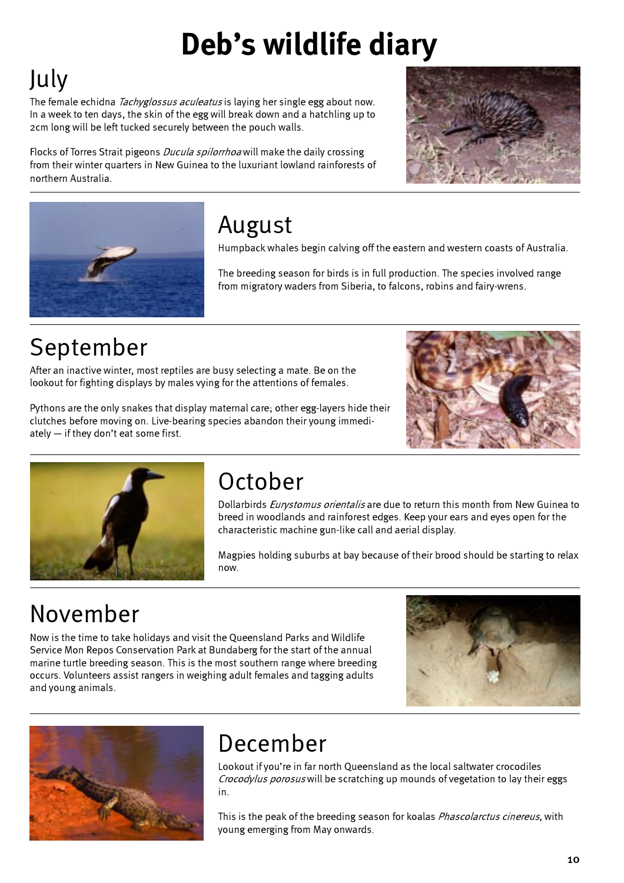# Deb's wildlife diary

# July

The female echidna *Tachyglossus aculeatus* is laying her single egg about now. In a week to ten days, the skin of the egg will break down and a hatchling up to 2cm long will be left tucked securely between the pouch walls.

Flocks of Torres Strait pigeons *Ducula spilorrhoa* will make the daily crossing from their winter quarters in New Guinea to the luxuriant lowland rainforests of northern Australia.





# August

Humpback whales begin calving off the eastern and western coasts of Australia.

The breeding season for birds is in full production. The species involved range from migratory waders from Siberia, to falcons, robins and fairy-wrens.

# September

After an inactive winter, most reptiles are busy selecting a mate. Be on the lookout for fighting displays by males vying for the attentions of females.

Pythons are the only snakes that display maternal care; other egg-layers hide their clutches before moving on. Live-bearing species abandon their young immediately — if they don't eat some first.





# October

Dollarbirds *Eurystomus orientalis* are due to return this month from New Guinea to breed in woodlands and rainforest edges. Keep your ears and eyes open for the characteristic machine gun-like call and aerial display.

Magpies holding suburbs at bay because of their brood should be starting to relax now.

# November

Now is the time to take holidays and visit the Queensland Parks and Wildlife Service Mon Repos Conservation Park at Bundaberg for the start of the annual marine turtle breeding season. This is the most southern range where breeding occurs. Volunteers assist rangers in weighing adult females and tagging adults and young animals.





# December

Lookout if you're in far north Queensland as the local saltwater crocodiles Crocodylus porosus will be scratching up mounds of vegetation to lay their eggs in.

This is the peak of the breeding season for koalas *Phascolarctus cinereus*, with young emerging from May onwards.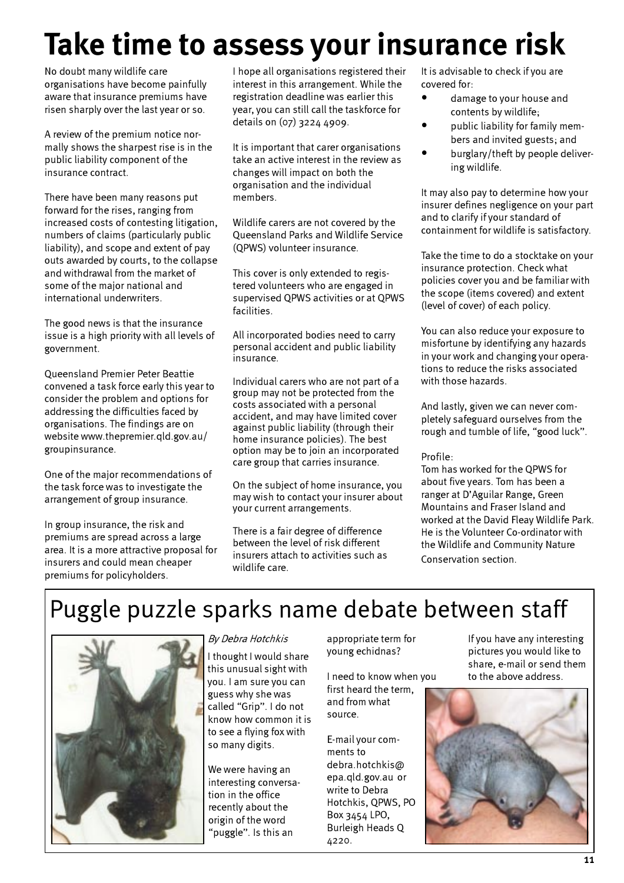# Take time to assess your insurance risk

No doubt many wildlife care organisations have become painfully aware that insurance premiums have risen sharply over the last year or so.

A review of the premium notice normally shows the sharpest rise is in the public liability component of the insurance contract.

There have been many reasons put forward for the rises, ranging from increased costs of contesting litigation, numbers of claims (particularly public liability), and scope and extent of pay outs awarded by courts, to the collapse and withdrawal from the market of some of the major national and international underwriters.

The good news is that the insurance issue is a high priority with all levels of government.

Queensland Premier Peter Beattie convened a task force early this year to consider the problem and options for addressing the difficulties faced by organisations. The findings are on website www.thepremier.qld.gov.au/ groupinsurance.

One of the major recommendations of the task force was to investigate the arrangement of group insurance.

In group insurance, the risk and premiums are spread across a large area. It is a more attractive proposal for insurers and could mean cheaper premiums for policyholders.

I hope all organisations registered their interest in this arrangement. While the registration deadline was earlier this year, you can still call the taskforce for details on (07) 3224 4909.

It is important that carer organisations take an active interest in the review as changes will impact on both the organisation and the individual members.

Wildlife carers are not covered by the Queensland Parks and Wildlife Service (QPWS) volunteer insurance.

This cover is only extended to registered volunteers who are engaged in supervised QPWS activities or at QPWS facilities.

All incorporated bodies need to carry personal accident and public liability insurance.

Individual carers who are not part of a group may not be protected from the costs associated with a personal accident, and may have limited cover against public liability (through their home insurance policies). The best option may be to join an incorporated care group that carries insurance.

On the subject of home insurance, you may wish to contact your insurer about your current arrangements.

There is a fair degree of difference between the level of risk different insurers attach to activities such as wildlife care.

It is advisable to check if you are covered for:

- damage to your house and contents by wildlife;
- public liability for family members and invited guests; and
- burglary/theft by people delivering wildlife.

It may also pay to determine how your insurer defines negligence on your part and to clarify if your standard of containment for wildlife is satisfactory.

Take the time to do a stocktake on your insurance protection. Check what policies cover you and be familiar with the scope (items covered) and extent (level of cover) of each policy.

You can also reduce your exposure to misfortune by identifying any hazards in your work and changing your operations to reduce the risks associated with those hazards.

And lastly, given we can never completely safeguard ourselves from the rough and tumble of life, "good luck".

Profile:

Tom has worked for the QPWS for about five years. Tom has been a ranger at D'Aguilar Range, Green Mountains and Fraser Island and worked at the David Fleay Wildlife Park. He is the Volunteer Co-ordinator with the Wildlife and Community Nature Conservation section.

# Puggle puzzle sparks name debate between staff



I thought I would share this unusual sight with you. I am sure you can guess why she was called "Grip". I do not know how common it is to see a flying fox with so many digits.

We were having an interesting conversation in the office recently about the origin of the word "puggle". Is this an

appropriate term for young echidnas?

I need to know when you first heard the term, and from what source.

E-mail your comments to debra.hotchkis@ epa.qld.gov.au or write to Debra Hotchkis, QPWS, PO Box 3454 LPO, Burleigh Heads Q 4220.

By Debra Hotchkis appropriate term for If you have any interesting pictures you would like to share, e-mail or send them to the above address.